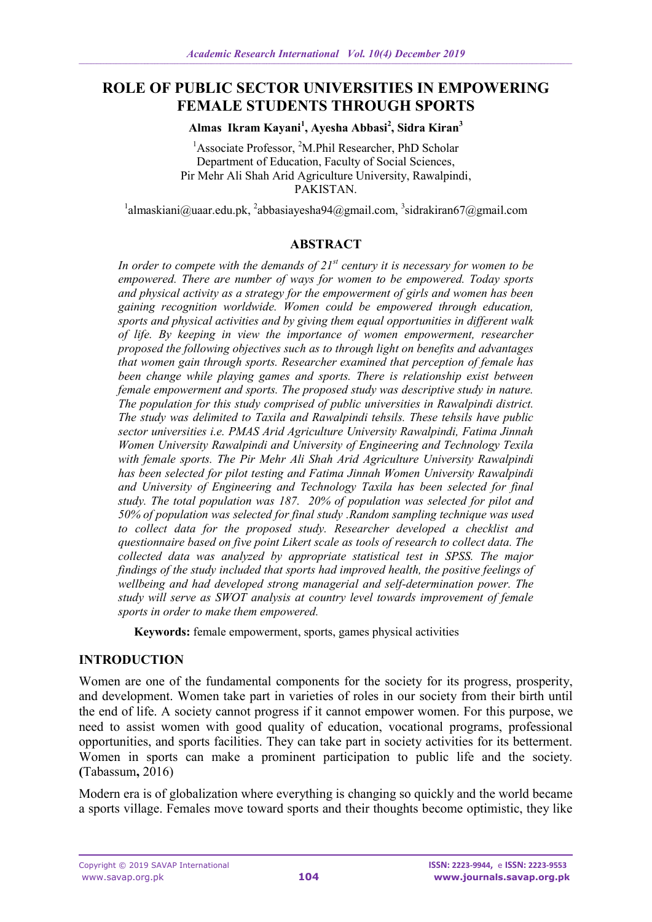# **ROLE OF PUBLIC SECTOR UNIVERSITIES IN EMPOWERING FEMALE STUDENTS THROUGH SPORTS**

**Almas Ikram Kayani<sup>1</sup> , Ayesha Abbasi<sup>2</sup> , Sidra Kiran<sup>3</sup>**

<sup>1</sup>Associate Professor, <sup>2</sup>M.Phil Researcher, PhD Scholar Department of Education, Faculty of Social Sciences, Pir Mehr Ali Shah Arid Agriculture University, Rawalpindi, PAKISTAN.

 $1$ [almaskiani@uaar.edu.pk,](mailto:almaskiani@uaar.edu.pk)  $2$ [abbasiayesha94@gmail.com,](mailto:abbasiayesha94@gmail.com)  $3$ [sidrakiran67@gmail.com](mailto:sidrakiran67@gmail.com)

#### **ABSTRACT**

*In order to compete with the demands of 21st century it is necessary for women to be empowered. There are number of ways for women to be empowered. Today sports and physical activity as a strategy for the empowerment of girls and women has been gaining recognition worldwide. Women could be empowered through education, sports and physical activities and by giving them equal opportunities in different walk of life. By keeping in view the importance of women empowerment, researcher proposed the following objectives such as to through light on benefits and advantages that women gain through sports. Researcher examined that perception of female has been change while playing games and sports. There is relationship exist between female empowerment and sports. The proposed study was descriptive study in nature. The population for this study comprised of public universities in Rawalpindi district. The study was delimited to Taxila and Rawalpindi tehsils. These tehsils have public sector universities i.e. PMAS Arid Agriculture University Rawalpindi, Fatima Jinnah Women University Rawalpindi and University of Engineering and Technology Texila with female sports. The Pir Mehr Ali Shah Arid Agriculture University Rawalpindi has been selected for pilot testing and Fatima Jinnah Women University Rawalpindi and University of Engineering and Technology Taxila has been selected for final study. The total population was 187. 20% of population was selected for pilot and 50% of population was selected for final study .Random sampling technique was used to collect data for the proposed study. Researcher developed a checklist and questionnaire based on five point Likert scale as tools of research to collect data. The collected data was analyzed by appropriate statistical test in SPSS. The major findings of the study included that sports had improved health, the positive feelings of wellbeing and had developed strong managerial and self-determination power. The study will serve as SWOT analysis at country level towards improvement of female sports in order to make them empowered.*

**Keywords:** female empowerment, sports, games physical activities

#### **INTRODUCTION**

Women are one of the fundamental components for the society for its progress, prosperity, and development. Women take part in varieties of roles in our society from their birth until the end of life. A society cannot progress if it cannot empower women. For this purpose, we need to assist women with good quality of education, vocational programs, professional opportunities, and sports facilities. They can take part in society activities for its betterment. Women in sports can make a prominent participation to public life and the society*.* **(**Tabassum**,** 2016)

Modern era is of globalization where everything is changing so quickly and the world became a sports village. Females move toward sports and their thoughts become optimistic, they like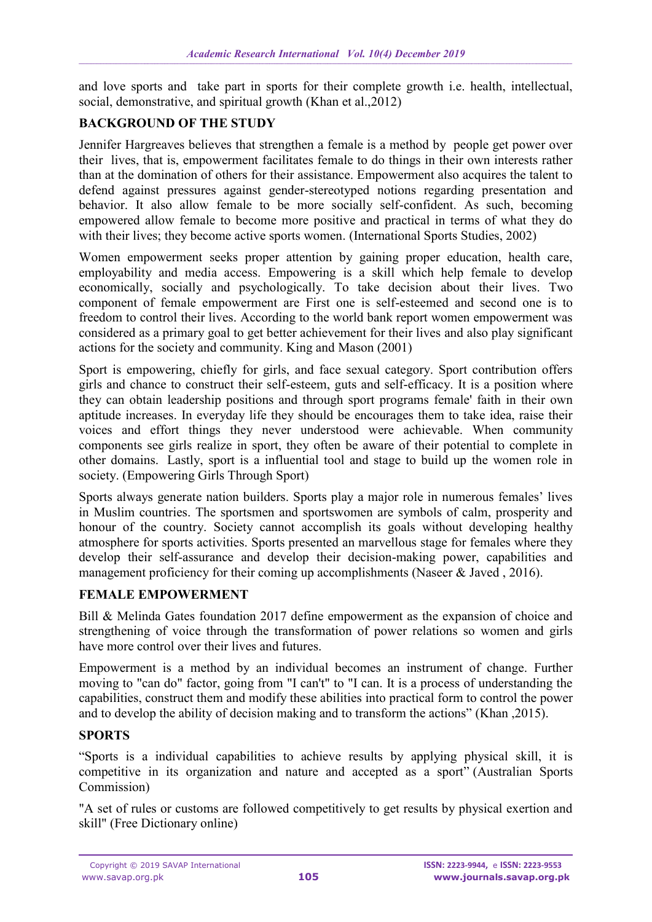and love sports and take part in sports for their complete growth i.e. health, intellectual, social, demonstrative, and spiritual growth (Khan et al.,2012)

## **BACKGROUND OF THE STUDY**

Jennifer Hargreaves believes that strengthen a female is a method by people get power over their lives, that is, empowerment facilitates female to do things in their own interests rather than at the domination of others for their assistance. Empowerment also acquires the talent to defend against pressures against gender-stereotyped notions regarding presentation and behavior. It also allow female to be more socially self-confident. As such, becoming empowered allow female to become more positive and practical in terms of what they do with their lives; they become active sports women. (International Sports Studies, 2002)

Women empowerment seeks proper attention by gaining proper education, health care, employability and media access. Empowering is a skill which help female to develop economically, socially and psychologically. To take decision about their lives. Two component of female empowerment are First one is self-esteemed and second one is to freedom to control their lives. According to the world bank report women empowerment was considered as a primary goal to get better achievement for their lives and also play significant actions for the society and community. King and Mason (2001)

Sport is empowering, chiefly for girls, and face sexual category. Sport contribution offers girls and chance to construct their self-esteem, guts and self-efficacy. It is a position where they can obtain leadership positions and through sport programs female' faith in their own aptitude increases. In everyday life they should be encourages them to take idea, raise their voices and effort things they never understood were achievable. When community components see girls realize in sport, they often be aware of their potential to complete in other domains. Lastly, sport is a influential tool and stage to build up the women role in society. (Empowering Girls Through Sport)

Sports always generate nation builders. Sports play a major role in numerous females' lives in Muslim countries. The sportsmen and sportswomen are symbols of calm, prosperity and honour of the country. Society cannot accomplish its goals without developing healthy atmosphere for sports activities. Sports presented an marvellous stage for females where they develop their self-assurance and develop their decision-making power, capabilities and management proficiency for their coming up accomplishments (Naseer & Javed, 2016).

#### **FEMALE EMPOWERMENT**

Bill & Melinda Gates foundation 2017 define empowerment as the expansion of choice and strengthening of voice through the transformation of power relations so women and girls have more control over their lives and futures.

Empowerment is a method by an individual becomes an instrument of change. Further moving to "can do" factor, going from "I can't" to "I can. It is a process of understanding the capabilities, construct them and modify these abilities into practical form to control the power and to develop the ability of decision making and to transform the actions" (Khan ,2015).

#### **SPORTS**

"Sports is a individual capabilities to achieve results by applying physical skill, it is competitive in its organization and nature and accepted as a sport" (Australian Sports Commission)

"A set of rules or customs are followed competitively to get results by physical exertion and skill" (Free Dictionary online)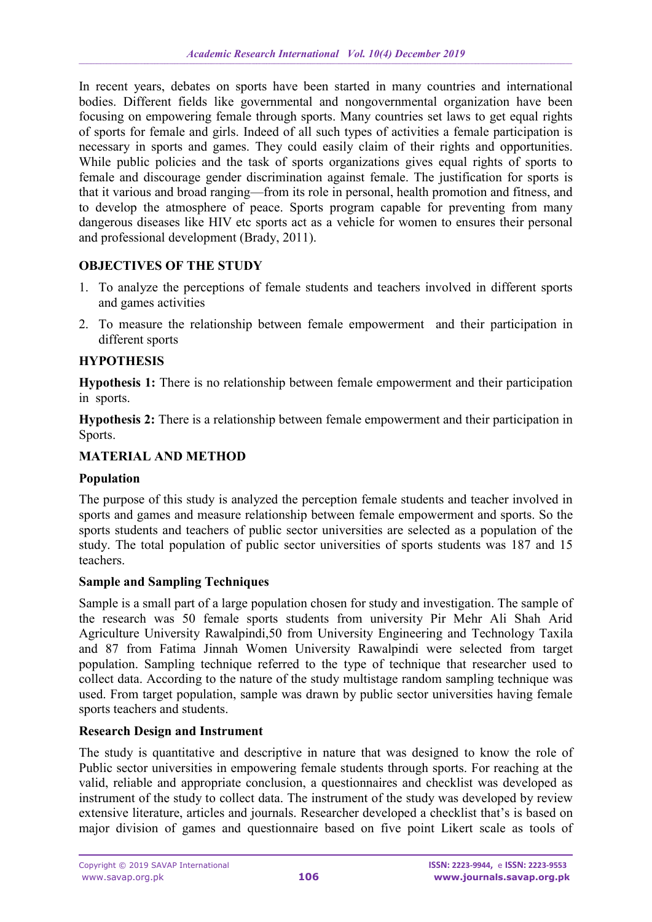In recent years, debates on sports have been started in many countries and international bodies. Different fields like governmental and nongovernmental organization have been focusing on empowering female through sports. Many countries set laws to get equal rights of sports for female and girls. Indeed of all such types of activities a female participation is necessary in sports and games. They could easily claim of their rights and opportunities. While public policies and the task of sports organizations gives equal rights of sports to female and discourage gender discrimination against female. The justification for sports is that it various and broad ranging—from its role in personal, health promotion and fitness, and to develop the atmosphere of peace. Sports program capable for preventing from many dangerous diseases like HIV etc sports act as a vehicle for women to ensures their personal and professional development (Brady, 2011).

#### **OBJECTIVES OF THE STUDY**

- 1. To analyze the perceptions of female students and teachers involved in different sports and games activities
- 2. To measure the relationship between female empowerment and their participation in different sports

## **HYPOTHESIS**

**Hypothesis 1:** There is no relationship between female empowerment and their participation in sports.

**Hypothesis 2:** There is a relationship between female empowerment and their participation in Sports.

## **MATERIAL AND METHOD**

#### **Population**

The purpose of this study is analyzed the perception female students and teacher involved in sports and games and measure relationship between female empowerment and sports. So the sports students and teachers of public sector universities are selected as a population of the study. The total population of public sector universities of sports students was 187 and 15 teachers.

#### **Sample and Sampling Techniques**

Sample is a small part of a large population chosen for study and investigation. The sample of the research was 50 female sports students from university Pir Mehr Ali Shah Arid Agriculture University Rawalpindi,50 from University Engineering and Technology Taxila and 87 from Fatima Jinnah Women University Rawalpindi were selected from target population. Sampling technique referred to the type of technique that researcher used to collect data. According to the nature of the study multistage random sampling technique was used. From target population, sample was drawn by public sector universities having female sports teachers and students.

## **Research Design and Instrument**

The study is quantitative and descriptive in nature that was designed to know the role of Public sector universities in empowering female students through sports. For reaching at the valid, reliable and appropriate conclusion, a questionnaires and checklist was developed as instrument of the study to collect data. The instrument of the study was developed by review extensive literature, articles and journals. Researcher developed a checklist that's is based on major division of games and questionnaire based on five point Likert scale as tools of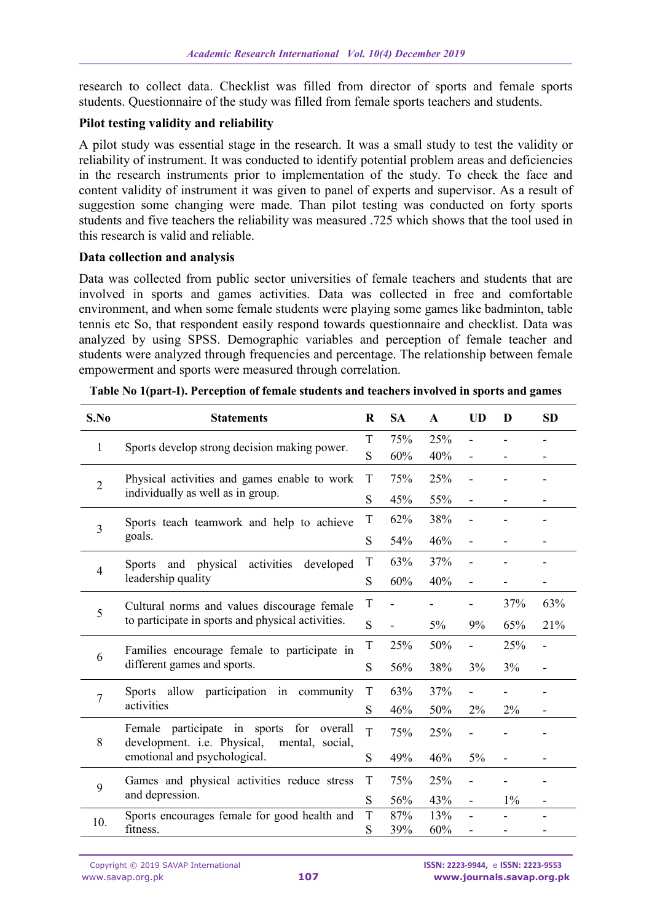research to collect data. Checklist was filled from director of sports and female sports students. Questionnaire of the study was filled from female sports teachers and students.

### **Pilot testing validity and reliability**

A pilot study was essential stage in the research. It was a small study to test the validity or reliability of instrument. It was conducted to identify potential problem areas and deficiencies in the research instruments prior to implementation of the study. To check the face and content validity of instrument it was given to panel of experts and supervisor. As a result of suggestion some changing were made. Than pilot testing was conducted on forty sports students and five teachers the reliability was measured .725 which shows that the tool used in this research is valid and reliable.

#### **Data collection and analysis**

Data was collected from public sector universities of female teachers and students that are involved in sports and games activities. Data was collected in free and comfortable environment, and when some female students were playing some games like badminton, table tennis etc So, that respondent easily respond towards questionnaire and checklist. Data was analyzed by using SPSS. Demographic variables and perception of female teacher and students were analyzed through frequencies and percentage. The relationship between female empowerment and sports were measured through correlation.

| S.No           | <b>Statements</b>                                                                                                             |        | <b>SA</b> | $\mathbf{A}$ | <b>UD</b>                | D     | <b>SD</b>      |
|----------------|-------------------------------------------------------------------------------------------------------------------------------|--------|-----------|--------------|--------------------------|-------|----------------|
| 1              | Sports develop strong decision making power.                                                                                  | T      | 75%       | 25%          |                          |       |                |
|                |                                                                                                                               | S      | 60%       | 40%          |                          |       |                |
| $\overline{2}$ | Physical activities and games enable to work<br>individually as well as in group.                                             | T      | 75%       | 25%          |                          |       |                |
|                |                                                                                                                               | S      | 45%       | 55%          | $\overline{\phantom{a}}$ |       |                |
| 3              | Sports teach teamwork and help to achieve<br>goals.                                                                           | T      | 62%       | 38%          |                          |       |                |
|                |                                                                                                                               | S      | 54%       | 46%          | Ξ.                       |       |                |
| 4              | Sports and physical<br>activities<br>developed<br>leadership quality                                                          | T      | 63%       | 37%          |                          |       |                |
|                |                                                                                                                               | S      | 60%       | 40%          | Ξ.                       |       |                |
| 5              | Cultural norms and values discourage female<br>to participate in sports and physical activities.                              | T      |           |              |                          | 37%   | 63%            |
|                |                                                                                                                               | S      |           | $5\%$        | 9%                       | 65%   | 21%            |
| 6              | Families encourage female to participate in<br>different games and sports.                                                    | T      | 25%       | 50%          |                          | 25%   | $\overline{a}$ |
|                |                                                                                                                               | S      | 56%       | 38%          | 3%                       | 3%    |                |
| 7              | Sports allow participation in community<br>activities                                                                         | T      | 63%       | 37%          |                          |       |                |
|                |                                                                                                                               | S      | 46%       | 50%          | 2%                       | 2%    |                |
| 8              | Female participate in sports for<br>overall<br>development. i.e. Physical,<br>mental, social,<br>emotional and psychological. | T      | 75%       | 25%          |                          |       |                |
|                |                                                                                                                               | S      | 49%       | 46%          | 5%                       | -     |                |
| 9              | Games and physical activities reduce stress<br>and depression.                                                                | T      | 75%       | 25%          |                          |       |                |
|                |                                                                                                                               | S      | 56%       | 43%          | ä,                       | $1\%$ |                |
| 10.            | Sports encourages female for good health and                                                                                  | T<br>S | 87%       | 13%          |                          |       |                |
|                | fitness.                                                                                                                      |        | 39%       | 60%          |                          |       |                |

**Table No 1(part-I). Perception of female students and teachers involved in sports and games**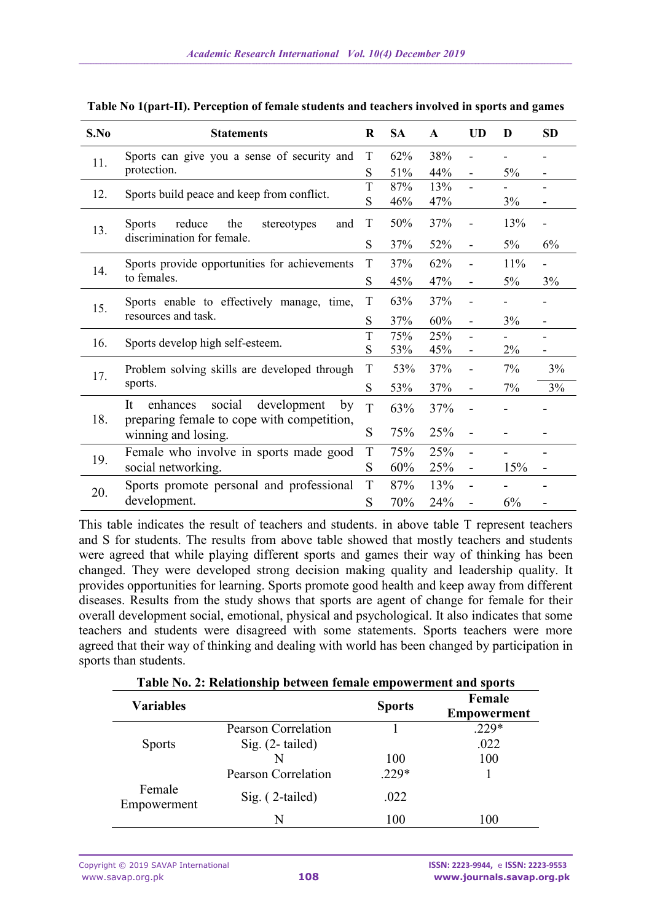| S.No | <b>Statements</b>                                                                           |        | <b>SA</b> | $\mathbf{A}$ | <b>UD</b>                | D     | <b>SD</b> |
|------|---------------------------------------------------------------------------------------------|--------|-----------|--------------|--------------------------|-------|-----------|
| 11.  | Sports can give you a sense of security and                                                 | T      | 62%       | 38%          |                          |       |           |
|      | protection.                                                                                 |        | 51%       | 44%          | $\blacksquare$           | 5%    | -         |
| 12.  | Sports build peace and keep from conflict.                                                  | T<br>S | 87%       | 13%          | $\overline{\phantom{0}}$ |       |           |
|      |                                                                                             |        | 46%       | 47%          |                          | 3%    |           |
| 13.  | reduce<br>the<br><b>Sports</b><br>stereotypes<br>and<br>discrimination for female.          | T      | 50%       | 37%          |                          | 13%   |           |
|      |                                                                                             | S      | 37%       | 52%          | $\overline{\phantom{a}}$ | $5\%$ | 6%        |
| 14.  | Sports provide opportunities for achievements                                               | T      | 37%       | 62%          |                          | 11%   |           |
|      | to females.                                                                                 |        | 45%       | 47%          | $\blacksquare$           | $5\%$ | 3%        |
| 15.  | Sports enable to effectively manage, time,<br>resources and task.                           | T      | 63%       | 37%          |                          |       |           |
|      |                                                                                             | S      | 37%       | 60%          | $\overline{\phantom{a}}$ | 3%    | -         |
| 16.  | Sports develop high self-esteem.                                                            | T<br>S | 75%       | 25%          | $\blacksquare$           |       |           |
|      |                                                                                             |        | 53%       | 45%          | $\overline{\phantom{a}}$ | 2%    | -         |
| 17.  | Problem solving skills are developed through<br>sports.                                     |        | 53%       | 37%          |                          | 7%    | 3%        |
|      |                                                                                             |        | 53%       | 37%          | $\overline{\phantom{a}}$ | 7%    | 3%        |
| 18.  | It<br>social<br>development<br>enhances<br>by<br>preparing female to cope with competition, | T      | 63%       | 37%          |                          |       |           |
|      | winning and losing.                                                                         |        | 75%       | 25%          | $\overline{\phantom{a}}$ |       |           |
| 19.  | Female who involve in sports made good                                                      | T      | 75%       | 25%          |                          |       |           |
|      | social networking.                                                                          |        | 60%       | 25%          |                          | 15%   |           |
| 20.  | Sports promote personal and professional<br>development.                                    |        | 87%       | 13%          |                          |       |           |
|      |                                                                                             |        | 70%       | 24%          |                          | 6%    |           |

| Table No 1(part-II). Perception of female students and teachers involved in sports and games |  |  |  |
|----------------------------------------------------------------------------------------------|--|--|--|

This table indicates the result of teachers and students. in above table T represent teachers and S for students. The results from above table showed that mostly teachers and students were agreed that while playing different sports and games their way of thinking has been changed. They were developed strong decision making quality and leadership quality. It provides opportunities for learning. Sports promote good health and keep away from different diseases. Results from the study shows that sports are agent of change for female for their overall development social, emotional, physical and psychological. It also indicates that some teachers and students were disagreed with some statements. Sports teachers were more agreed that their way of thinking and dealing with world has been changed by participation in sports than students.

**Table No. 2: Relationship between female empowerment and sports**

| <b>Variables</b>      |                            | <b>Sports</b> | Female<br>Empowerment |
|-----------------------|----------------------------|---------------|-----------------------|
|                       | Pearson Correlation        |               | $.229*$               |
| <b>Sports</b>         | Sig. $(2$ -tailed)         |               | .022                  |
|                       |                            | 100           | 100                   |
|                       | <b>Pearson Correlation</b> | $.229*$       |                       |
| Female<br>Empowerment | $Sig.$ (2-tailed)          | .022          |                       |
|                       | N                          | 100           | 100                   |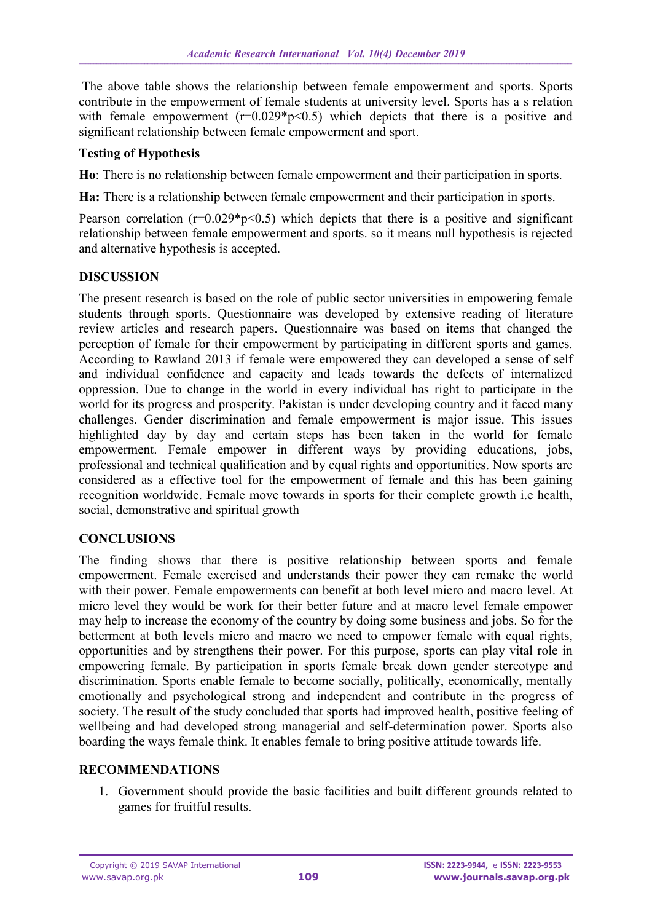The above table shows the relationship between female empowerment and sports. Sports contribute in the empowerment of female students at university level. Sports has a s relation with female empowerment  $(r=0.029 * p < 0.5)$  which depicts that there is a positive and significant relationship between female empowerment and sport.

#### **Testing of Hypothesis**

**Ho**: There is no relationship between female empowerment and their participation in sports.

**Ha:** There is a relationship between female empowerment and their participation in sports.

Pearson correlation  $(r=0.029*p<0.5)$  which depicts that there is a positive and significant relationship between female empowerment and sports. so it means null hypothesis is rejected and alternative hypothesis is accepted.

#### **DISCUSSION**

The present research is based on the role of public sector universities in empowering female students through sports. Questionnaire was developed by extensive reading of literature review articles and research papers. Questionnaire was based on items that changed the perception of female for their empowerment by participating in different sports and games. According to Rawland 2013 if female were empowered they can developed a sense of self and individual confidence and capacity and leads towards the defects of internalized oppression. Due to change in the world in every individual has right to participate in the world for its progress and prosperity. Pakistan is under developing country and it faced many challenges. Gender discrimination and female empowerment is major issue. This issues highlighted day by day and certain steps has been taken in the world for female empowerment. Female empower in different ways by providing educations, jobs, professional and technical qualification and by equal rights and opportunities. Now sports are considered as a effective tool for the empowerment of female and this has been gaining recognition worldwide. Female move towards in sports for their complete growth i.e health, social, demonstrative and spiritual growth

#### **CONCLUSIONS**

The finding shows that there is positive relationship between sports and female empowerment. Female exercised and understands their power they can remake the world with their power. Female empowerments can benefit at both level micro and macro level. At micro level they would be work for their better future and at macro level female empower may help to increase the economy of the country by doing some business and jobs. So for the betterment at both levels micro and macro we need to empower female with equal rights, opportunities and by strengthens their power. For this purpose, sports can play vital role in empowering female. By participation in sports female break down gender stereotype and discrimination. Sports enable female to become socially, politically, economically, mentally emotionally and psychological strong and independent and contribute in the progress of society. The result of the study concluded that sports had improved health, positive feeling of wellbeing and had developed strong managerial and self-determination power. Sports also boarding the ways female think. It enables female to bring positive attitude towards life.

#### **RECOMMENDATIONS**

1. Government should provide the basic facilities and built different grounds related to games for fruitful results.